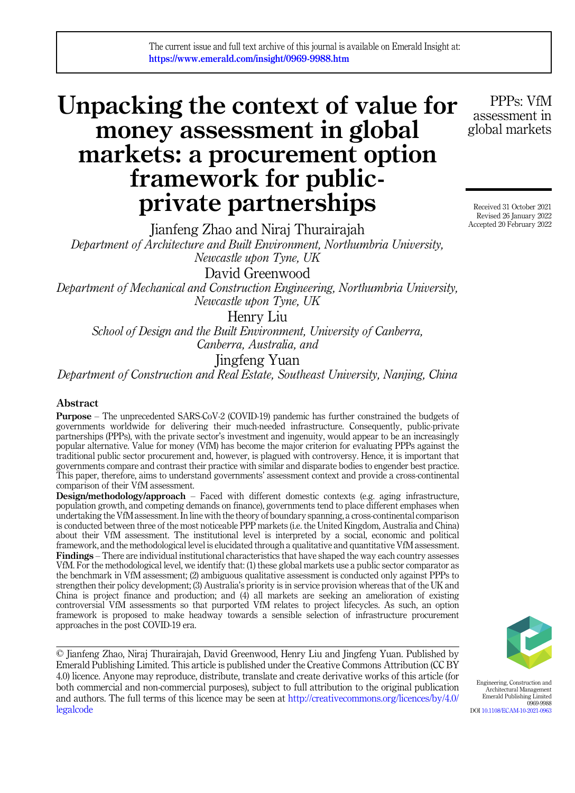# Unpacking the context of value for money assessment in global markets: a procurement option framework for publicprivate partnerships

PPPs: VfM assessment in global markets

Received 31 October 2021 Revised 26 January 2022 Accepted 20 February 2022

Jianfeng Zhao and Niraj Thurairajah Department of Architecture and Built Environment, Northumbria University, Newcastle upon Tyne, UK David Greenwood

Department of Mechanical and Construction Engineering, Northumbria University, Newcastle upon Tyne, UK

Henry Liu

School of Design and the Built Environment, University of Canberra, Canberra, Australia, and

Jingfeng Yuan

Department of Construction and Real Estate, Southeast University, Nanjing, China

#### Abstract

Purpose – The unprecedented SARS-CoV-2 (COVID-19) pandemic has further constrained the budgets of governments worldwide for delivering their much-needed infrastructure. Consequently, public-private partnerships (PPPs), with the private sector's investment and ingenuity, would appear to be an increasingly popular alternative. Value for money (VfM) has become the major criterion for evaluating PPPs against the traditional public sector procurement and, however, is plagued with controversy. Hence, it is important that governments compare and contrast their practice with similar and disparate bodies to engender best practice. This paper, therefore, aims to understand governments' assessment context and provide a cross-continental comparison of their VfM assessment.

Design/methodology/approach – Faced with different domestic contexts (e.g. aging infrastructure, population growth, and competing demands on finance), governments tend to place different emphases when undertaking the VfM assessment. In line with the theory of boundary spanning, a cross-continental comparison is conducted between three of the most noticeable PPP markets (i.e. the United Kingdom, Australia and China) about their VfM assessment. The institutional level is interpreted by a social, economic and political framework, and the methodological level is elucidated through a qualitative and quantitative VfM assessment. Findings – There are individual institutional characteristics that have shaped the way each country assesses VfM. For the methodological level, we identify that: (1) these global markets use a public sector comparator as the benchmark in VfM assessment; (2) ambiguous qualitative assessment is conducted only against PPPs to strengthen their policy development; (3) Australia's priority is in service provision whereas that of the UK and China is project finance and production; and (4) all markets are seeking an amelioration of existing controversial VfM assessments so that purported VfM relates to project lifecycles. As such, an option framework is proposed to make headway towards a sensible selection of infrastructure procurement approaches in the post COVID-19 era.

© Jianfeng Zhao, Niraj Thurairajah, David Greenwood, Henry Liu and Jingfeng Yuan. Published by Emerald Publishing Limited. This article is published under the Creative Commons Attribution (CC BY 4.0) licence. Anyone may reproduce, distribute, translate and create derivative works of this article (for both commercial and non-commercial purposes), subject to full attribution to the original publication and authors. The full terms of this licence may be seen at [http://creativecommons.org/licences/by/4.0/](http://creativecommons.org/licences/by/4.0/legalcode) [legalcode](http://creativecommons.org/licences/by/4.0/legalcode)



Engineering, Construction and Architectural Management Emerald Publishing Limited 0969-9988 DOI [10.1108/ECAM-10-2021-0963](https://doi.org/10.1108/ECAM-10-2021-0963)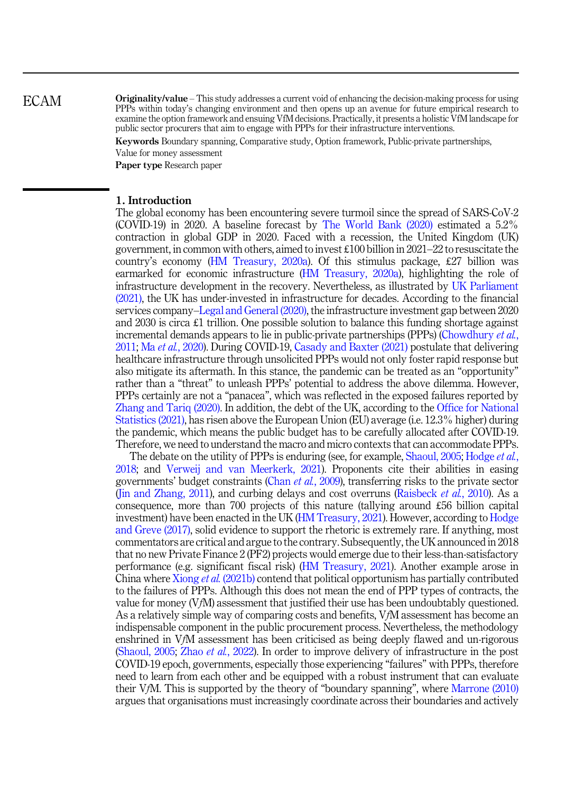Originality/value – This study addresses a current void of enhancing the decision-making process for using PPPs within today's changing environment and then opens up an avenue for future empirical research to examine the option framework and ensuing VfM decisions. Practically, it presents a holistic VfM landscape for public sector procurers that aim to engage with PPPs for their infrastructure interventions.

Keywords Boundary spanning, Comparative study, Option framework, Public-private partnerships,

Value for money assessment

Paper type Research paper

#### 1. Introduction

The global economy has been encountering severe turmoil since the spread of SARS-CoV-2 (COVID-19) in 2020. A baseline forecast by [The World Bank \(2020\)](#page-18-0) estimated a 5.2% contraction in global GDP in 2020. Faced with a recession, the United Kingdom (UK) government, in common with others, aimed to invest £100 billion in 2021–22 to resuscitate the country's economy ([HM Treasury, 2020a](#page-15-0)). Of this stimulus package, £27 billion was earmarked for economic infrastructure [\(HM Treasury, 2020a](#page-15-0)), highlighting the role of infrastructure development in the recovery. Nevertheless, as illustrated by [UK Parliament](#page-18-0) [\(2021\),](#page-18-0) the UK has under-invested in infrastructure for decades. According to the financial services company–[Legal and General \(2020\)](#page-16-0), the infrastructure investment gap between 2020 and 2030 is circa  $\pounds$ 1 trillion. One possible solution to balance this funding shortage against incremental demands appears to lie in public-private partnerships (PPPs) [\(Chowdhury](#page-14-0) *et al.*, [2011;](#page-14-0) Ma et al.[, 2020\)](#page-16-0). During COVID-19, [Casady and Baxter \(2021\)](#page-14-0) postulate that delivering healthcare infrastructure through unsolicited PPPs would not only foster rapid response but also mitigate its aftermath. In this stance, the pandemic can be treated as an "opportunity" rather than a "threat" to unleash PPPs' potential to address the above dilemma. However, PPPs certainly are not a "panacea", which was reflected in the exposed failures reported by [Zhang and Tariq \(2020\).](#page-18-0) In addition, the debt of the UK, according to the [Office for National](#page-17-0) [Statistics \(2021\)](#page-17-0), has risen above the European Union (EU) average (i.e. 12.3% higher) during the pandemic, which means the public budget has to be carefully allocated after COVID-19. Therefore, we need to understand the macro and micro contexts that can accommodate PPPs.

The debate on the utility of PPPs is enduring (see, for example, [Shaoul, 2005;](#page-17-0) [Hodge](#page-15-0) *et al.*, [2018;](#page-15-0) and [Verweij and van Meerkerk, 2021\)](#page-18-0). Proponents cite their abilities in easing governments' budget constraints (Chan et al.[, 2009\)](#page-14-0), transferring risks to the private sector ([Jin and Zhang, 2011\)](#page-16-0), and curbing delays and cost overruns ([Raisbeck](#page-17-0) *et al.*, 2010). As a consequence, more than 700 projects of this nature (tallying around £56 billion capital investment) have been enacted in the UK ([HM Treasury, 2021](#page-15-0)). However, according to [Hodge](#page-15-0) [and Greve \(2017\)](#page-15-0), solid evidence to support the rhetoric is extremely rare. If anything, most commentators are critical and argue to the contrary. Subsequently, the UK announced in 2018 that no new Private Finance 2 (PF2) projects would emerge due to their less-than-satisfactory performance (e.g. significant fiscal risk) [\(HM Treasury, 2021\)](#page-15-0). Another example arose in China where Xiong et al. [\(2021b\)](#page-18-0) contend that political opportunism has partially contributed to the failures of PPPs. Although this does not mean the end of PPP types of contracts, the value for money (VfM) assessment that justified their use has been undoubtably questioned. As a relatively simple way of comparing costs and benefits, VfM assessment has become an indispensable component in the public procurement process. Nevertheless, the methodology enshrined in VfM assessment has been criticised as being deeply flawed and un-rigorous ([Shaoul, 2005](#page-17-0); Zhao et al.[, 2022\)](#page-18-0). In order to improve delivery of infrastructure in the post COVID-19 epoch, governments, especially those experiencing "failures" with PPPs, therefore need to learn from each other and be equipped with a robust instrument that can evaluate their VfM. This is supported by the theory of "boundary spanning", where [Marrone \(2010\)](#page-16-0) argues that organisations must increasingly coordinate across their boundaries and actively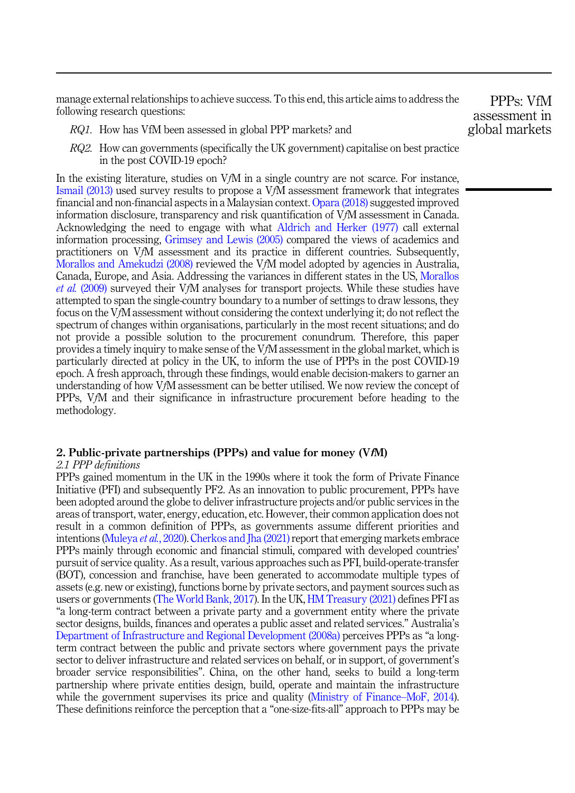manage external relationships to achieve success. To this end, this article aims to address the following research questions:

- RQ1. How has VfM been assessed in global PPP markets? and
- RQ2. How can governments (specifically the UK government) capitalise on best practice in the post COVID-19 epoch?

In the existing literature, studies on VfM in a single country are not scarce. For instance, [Ismail \(2013\)](#page-15-0) used survey results to propose a VfM assessment framework that integrates financial and non-financial aspects in a Malaysian context. [Opara \(2018\)](#page-17-0) suggested improved information disclosure, transparency and risk quantification of VfM assessment in Canada. Acknowledging the need to engage with what [Aldrich and Herker \(1977\)](#page-14-0) call external information processing, [Grimsey and Lewis \(2005\)](#page-15-0) compared the views of academics and practitioners on VfM assessment and its practice in different countries. Subsequently, [Morallos and Amekudzi \(2008\)](#page-16-0) reviewed the VfM model adopted by agencies in Australia, Canada, Europe, and Asia. Addressing the variances in different states in the US, [Morallos](#page-16-0) et al. [\(2009\)](#page-16-0) surveyed their VfM analyses for transport projects. While these studies have attempted to span the single-country boundary to a number of settings to draw lessons, they focus on the VfM assessment without considering the context underlying it; do not reflect the spectrum of changes within organisations, particularly in the most recent situations; and do not provide a possible solution to the procurement conundrum. Therefore, this paper provides a timely inquiry to make sense of the VfM assessment in the global market, which is particularly directed at policy in the UK, to inform the use of PPPs in the post COVID-19 epoch. A fresh approach, through these findings, would enable decision-makers to garner an understanding of how VfM assessment can be better utilised. We now review the concept of PPPs, VfM and their significance in infrastructure procurement before heading to the methodology.

# 2. Public-private partnerships (PPPs) and value for money (VfM)

#### 2.1 PPP definitions

PPPs gained momentum in the UK in the 1990s where it took the form of Private Finance Initiative (PFI) and subsequently PF2. As an innovation to public procurement, PPPs have been adopted around the globe to deliver infrastructure projects and/or public services in the areas of transport, water, energy, education, etc. However, their common application does not result in a common definition of PPPs, as governments assume different priorities and intentions ([Muleya](#page-17-0) *et al.*, 2020). Cherkos and Iha (2021) report that emerging markets embrace PPPs mainly through economic and financial stimuli, compared with developed countries' pursuit of service quality. As a result, various approaches such as PFI, build-operate-transfer (BOT), concession and franchise, have been generated to accommodate multiple types of assets (e.g. new or existing), functions borne by private sectors, and payment sources such as users or governments ([The World Bank, 2017](#page-18-0)). In the UK, [HM Treasury \(2021\)](#page-15-0) defines PFI as "a long-term contract between a private party and a government entity where the private sector designs, builds, finances and operates a public asset and related services." Australia's [Department of Infrastructure and Regional Development \(2008a\)](#page-14-0) perceives PPPs as "a longterm contract between the public and private sectors where government pays the private sector to deliver infrastructure and related services on behalf, or in support, of government's broader service responsibilities". China, on the other hand, seeks to build a long-term partnership where private entities design, build, operate and maintain the infrastructure while the government supervises its price and quality ([Ministry of Finance](#page-16-0)–[MoF, 2014\)](#page-16-0). These definitions reinforce the perception that a "one-size-fits-all" approach to PPPs may be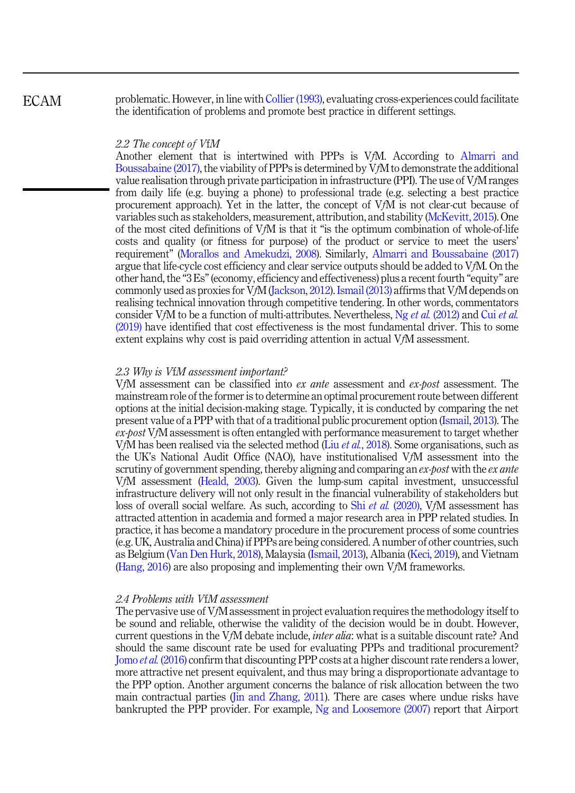problematic. However, in line with [Collier \(1993\),](#page-14-0) evaluating cross-experiences could facilitate the identification of problems and promote best practice in different settings.

#### 2.2 The concept of VfM

Another element that is intertwined with PPPs is VfM. According to [Almarri and](#page-14-0) [Boussabaine \(2017\),](#page-14-0) the viability of PPPs is determined by VfM to demonstrate the additional value realisation through private participation in infrastructure (PPI). The use of VfM ranges from daily life (e.g. buying a phone) to professional trade (e.g. selecting a best practice procurement approach). Yet in the latter, the concept of VfM is not clear-cut because of variables such as stakeholders, measurement, attribution, and stability [\(McKevitt, 2015\)](#page-16-0). One of the most cited definitions of VfM is that it "is the optimum combination of whole-of-life costs and quality (or fitness for purpose) of the product or service to meet the users' requirement" ([Morallos and Amekudzi, 2008\)](#page-16-0). Similarly, [Almarri and Boussabaine \(2017\)](#page-14-0) argue that life-cycle cost efficiency and clear service outputs should be added to VfM. On the other hand, the "3 Es"(economy, efficiency and effectiveness) plus a recent fourth "equity" are commonly used as proxies for VfM ([Jackson, 2012](#page-16-0)). [Ismail \(2013\)](#page-15-0) affirms that VfM depends on realising technical innovation through competitive tendering. In other words, commentators consider VfM to be a function of multi-attributes. Nevertheless, Ng et al. [\(2012\)](#page-17-0) and Cui [et al.](#page-14-0) [\(2019\)](#page-14-0) have identified that cost effectiveness is the most fundamental driver. This to some extent explains why cost is paid overriding attention in actual VfM assessment.

#### 2.3 Why is VfM assessment important?

VfM assessment can be classified into ex ante assessment and ex-post assessment. The mainstream role of the former is to determine an optimal procurement route between different options at the initial decision-making stage. Typically, it is conducted by comparing the net present value of a PPP with that of a traditional public procurement option [\(Ismail, 2013\)](#page-15-0). The  $ex\text{-}best\text{ }VfM$  assessment is often entangled with performance measurement to target whether VfM has been realised via the selected method (Liu *et al.*[, 2018](#page-16-0)). Some organisations, such as the UK's National Audit Office (NAO), have institutionalised VfM assessment into the scrutiny of government spending, thereby aligning and comparing an  $ex\text{-}post$  with the  $ex\text{-}ante$ VfM assessment [\(Heald, 2003](#page-15-0)). Given the lump-sum capital investment, unsuccessful infrastructure delivery will not only result in the financial vulnerability of stakeholders but loss of overall social welfare. As such, according to Shi *et al.* [\(2020\)](#page-17-0), VfM assessment has attracted attention in academia and formed a major research area in PPP related studies. In practice, it has become a mandatory procedure in the procurement process of some countries (e.g. UK, Australia and China) if PPPs are being considered. A number of other countries, such as Belgium ([Van Den Hurk, 2018](#page-18-0)), Malaysia ([Ismail, 2013\)](#page-15-0), Albania [\(Keci, 2019](#page-16-0)), and Vietnam ([Hang, 2016](#page-15-0)) are also proposing and implementing their own VfM frameworks.

#### 2.4 Problems with VfM assessment

The pervasive use of VfM assessment in project evaluation requires the methodology itself to be sound and reliable, otherwise the validity of the decision would be in doubt. However, current questions in the VfM debate include, *inter alia*: what is a suitable discount rate? And should the same discount rate be used for evaluating PPPs and traditional procurement? Jomo et al. [\(2016\)](#page-16-0) confirm that discounting PPP costs at a higher discount rate renders a lower, more attractive net present equivalent, and thus may bring a disproportionate advantage to the PPP option. Another argument concerns the balance of risk allocation between the two main contractual parties ([Jin and Zhang, 2011\)](#page-16-0). There are cases where undue risks have bankrupted the PPP provider. For example, [Ng and Loosemore \(2007\)](#page-17-0) report that Airport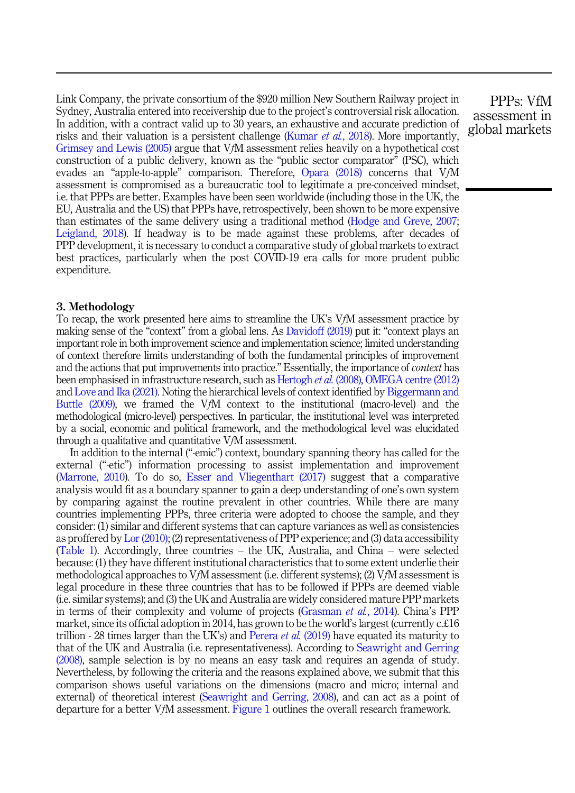Link Company, the private consortium of the \$920 million New Southern Railway project in Sydney, Australia entered into receivership due to the project's controversial risk allocation. In addition, with a contract valid up to 30 years, an exhaustive and accurate prediction of risks and their valuation is a persistent challenge [\(Kumar](#page-16-0) *et al.*, 2018). More importantly, [Grimsey and Lewis \(2005\)](#page-15-0) argue that VfM assessment relies heavily on a hypothetical cost construction of a public delivery, known as the "public sector comparator" (PSC), which evades an "apple-to-apple" comparison. Therefore, [Opara \(2018\)](#page-17-0) concerns that VfM assessment is compromised as a bureaucratic tool to legitimate a pre-conceived mindset, i.e. that PPPs are better. Examples have been seen worldwide (including those in the UK, the EU, Australia and the US) that PPPs have, retrospectively, been shown to be more expensive than estimates of the same delivery using a traditional method ([Hodge and Greve, 2007](#page-15-0); [Leigland, 2018](#page-16-0)). If headway is to be made against these problems, after decades of PPP development, it is necessary to conduct a comparative study of global markets to extract best practices, particularly when the post COVID-19 era calls for more prudent public expenditure.

#### 3. Methodology

To recap, the work presented here aims to streamline the UK's VfM assessment practice by making sense of the "context" from a global lens. As [Davidoff \(2019\)](#page-14-0) put it: "context plays an important role in both improvement science and implementation science; limited understanding of context therefore limits understanding of both the fundamental principles of improvement and the actions that put improvements into practice." Essentially, the importance of *context* has been emphasised in infrastructure research, such as [Hertogh](#page-15-0) et al. (2008), [OMEGA centre \(2012\)](#page-17-0) and [Love and Ika \(2021\)](#page-16-0). Noting the hierarchical levels of context identified by [Biggermann and](#page-14-0) [Buttle \(2009\),](#page-14-0) we framed the VfM context to the institutional (macro-level) and the methodological (micro-level) perspectives. In particular, the institutional level was interpreted by a social, economic and political framework, and the methodological level was elucidated through a qualitative and quantitative VfM assessment.

In addition to the internal ("-emic") context, boundary spanning theory has called for the external ("-etic") information processing to assist implementation and improvement ([Marrone, 2010](#page-16-0)). To do so, [Esser and Vliegenthart \(2017\)](#page-15-0) suggest that a comparative analysis would fit as a boundary spanner to gain a deep understanding of one's own system by comparing against the routine prevalent in other countries. While there are many countries implementing PPPs, three criteria were adopted to choose the sample, and they consider: (1) similar and different systems that can capture variances as well as consistencies as proffered by [Lor \(2010\)](#page-16-0); (2) representativeness of PPP experience; and (3) data accessibility ([Table 1\)](#page-5-0). Accordingly, three countries – the UK, Australia, and China – were selected because: (1) they have different institutional characteristics that to some extent underlie their methodological approaches to VfM assessment (i.e. different systems); (2) VfM assessment is legal procedure in these three countries that has to be followed if PPPs are deemed viable (i.e. similar systems); and (3) the UK and Australia are widely considered mature PPP markets in terms of their complexity and volume of projects [\(Grasman](#page-15-0) *et al.*, 2014). China's PPP market, since its official adoption in 2014, has grown to be the world's largest (currently c.£16 trillion - 28 times larger than the UK's) and [Perera](#page-17-0) *et al.* (2019) have equated its maturity to that of the UK and Australia (i.e. representativeness). According to [Seawright and Gerring](#page-17-0) [\(2008\),](#page-17-0) sample selection is by no means an easy task and requires an agenda of study. Nevertheless, by following the criteria and the reasons explained above, we submit that this comparison shows useful variations on the dimensions (macro and micro; internal and external) of theoretical interest ([Seawright and Gerring, 2008](#page-17-0)), and can act as a point of departure for a better VfM assessment. [Figure 1](#page-5-0) outlines the overall research framework.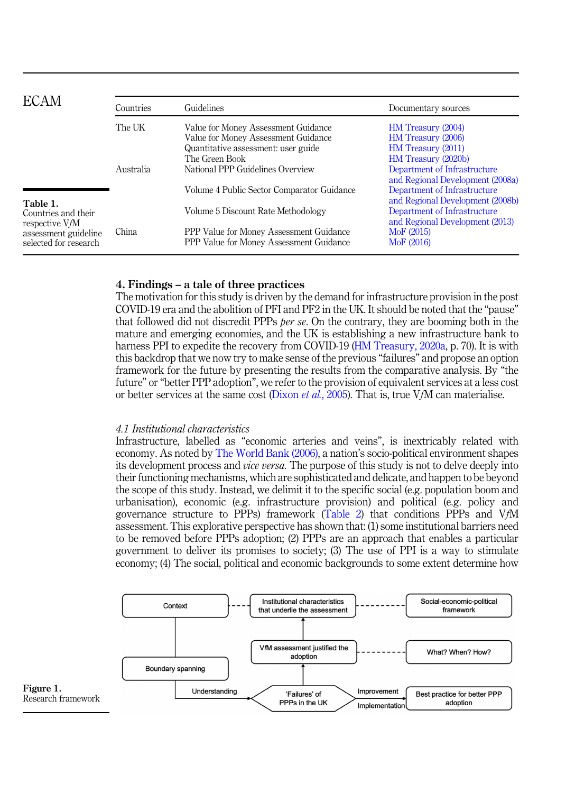<span id="page-5-0"></span>

| ECAM                                              | Countries | Guidelines                                                                         | Documentary sources                                              |
|---------------------------------------------------|-----------|------------------------------------------------------------------------------------|------------------------------------------------------------------|
|                                                   | The UK    | Value for Money Assessment Guidance                                                | <b>HM</b> Treasury (2004)                                        |
|                                                   |           | Value for Money Assessment Guidance                                                | HM Treasury (2006)                                               |
|                                                   |           | Quantitative assessment: user guide                                                | HM Treasury (2011)                                               |
|                                                   |           | The Green Book                                                                     | HM Treasury (2020b)                                              |
|                                                   | Australia | National PPP Guidelines Overview                                                   | Department of Infrastructure<br>and Regional Development (2008a) |
|                                                   |           | Volume 4 Public Sector Comparator Guidance                                         | Department of Infrastructure<br>and Regional Development (2008b) |
| Table 1.<br>Countries and their<br>respective VfM |           | Volume 5 Discount Rate Methodology                                                 | Department of Infrastructure<br>and Regional Development (2013)  |
| assessment guideline<br>selected for research     | China     | PPP Value for Money Assessment Guidance<br>PPP Value for Money Assessment Guidance | MoF (2015)<br>MoF (2016)                                         |

#### 4. Findings – a tale of three practices

The motivation for this study is driven by the demand for infrastructure provision in the post COVID-19 era and the abolition of PFI and PF2 in the UK. It should be noted that the "pause" that followed did not discredit PPPs per se. On the contrary, they are booming both in the mature and emerging economies, and the UK is establishing a new infrastructure bank to harness PPI to expedite the recovery from COVID-19 [\(HM Treasury, 2020a](#page-15-0), p. 70). It is with this backdrop that we now try to make sense of the previous "failures" and propose an option framework for the future by presenting the results from the comparative analysis. By "the future" or "better PPP adoption", we refer to the provision of equivalent services at a less cost or better services at the same cost [\(Dixon](#page-15-0) *et al.*, 2005). That is, true VfM can materialise.

#### 4.1 Institutional characteristics

Infrastructure, labelled as "economic arteries and veins", is inextricably related with economy. As noted by [The World Bank \(2006\),](#page-18-0) a nation's socio-political environment shapes its development process and *vice versa*. The purpose of this study is not to delve deeply into their functioning mechanisms, which are sophisticated and delicate, and happen to be beyond the scope of this study. Instead, we delimit it to the specific social (e.g. population boom and urbanisation), economic (e.g. infrastructure provision) and political (e.g. policy and governance structure to PPPs) framework [\(Table 2\)](#page-6-0) that conditions PPPs and VfM assessment. This explorative perspective has shown that: (1) some institutional barriers need to be removed before PPPs adoption; (2) PPPs are an approach that enables a particular government to deliver its promises to society; (3) The use of PPI is a way to stimulate economy; (4) The social, political and economic backgrounds to some extent determine how

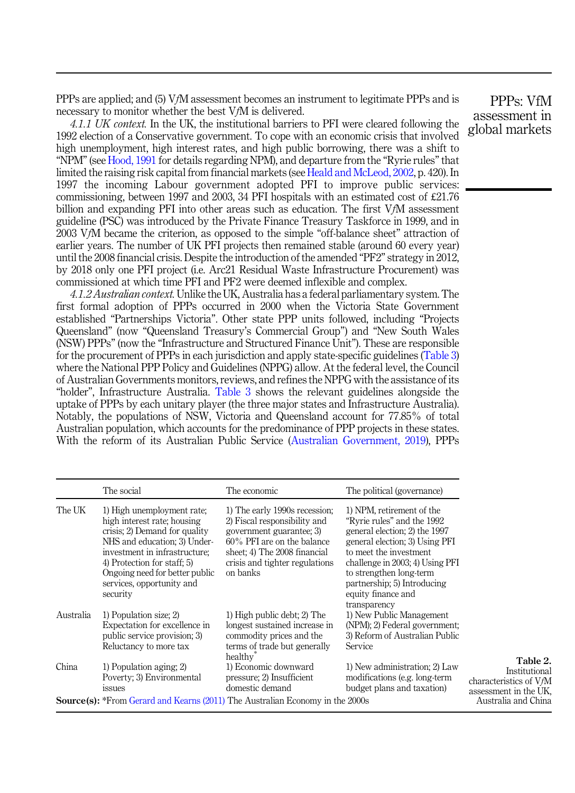<span id="page-6-0"></span>PPPs are applied; and (5) VfM assessment becomes an instrument to legitimate PPPs and is necessary to monitor whether the best VfM is delivered.

4.1.1 UK context. In the UK, the institutional barriers to PFI were cleared following the 1992 election of a Conservative government. To cope with an economic crisis that involved high unemployment, high interest rates, and high public borrowing, there was a shift to "NPM" (see [Hood, 1991](#page-15-0) for details regarding NPM), and departure from the "Ryrie rules" that limited the raising risk capital from financial markets (see [Heald and McLeod, 2002](#page-15-0), p. 420). In 1997 the incoming Labour government adopted PFI to improve public services: commissioning, between 1997 and 2003, 34 PFI hospitals with an estimated cost of  $\text{\pounds}21.76$ billion and expanding PFI into other areas such as education. The first VfM assessment guideline (PSC) was introduced by the Private Finance Treasury Taskforce in 1999, and in 2003 VfM became the criterion, as opposed to the simple "off-balance sheet" attraction of earlier years. The number of UK PFI projects then remained stable (around 60 every year) until the 2008 financial crisis. Despite the introduction of the amended "PF2" strategy in 2012, by 2018 only one PFI project (i.e. Arc21 Residual Waste Infrastructure Procurement) was commissioned at which time PFI and PF2 were deemed inflexible and complex.

4.1.2 Australian context. Unlike the UK, Australia has a federal parliamentary system. The first formal adoption of PPPs occurred in 2000 when the Victoria State Government established "Partnerships Victoria". Other state PPP units followed, including "Projects Queensland" (now "Queensland Treasury's Commercial Group") and "New South Wales (NSW) PPPs" (now the "Infrastructure and Structured Finance Unit"). These are responsible for the procurement of PPPs in each jurisdiction and apply state-specific guidelines [\(Table 3\)](#page-7-0) where the National PPP Policy and Guidelines (NPPG) allow. At the federal level, the Council of Australian Governments monitors, reviews, and refines the NPPG with the assistance of its "holder", Infrastructure Australia. [Table 3](#page-7-0) shows the relevant guidelines alongside the uptake of PPPs by each unitary player (the three major states and Infrastructure Australia). Notably, the populations of NSW, Victoria and Queensland account for 77.85% of total Australian population, which accounts for the predominance of PPP projects in these states. With the reform of its Australian Public Service ([Australian Government, 2019](#page-14-0)), PPPs

|           | The social                                                                                                                                                                                                                                                            | The economic                                                                                                                                                                                          | The political (governance)                                                                                                                                                                                                                                                               |                                                                              |
|-----------|-----------------------------------------------------------------------------------------------------------------------------------------------------------------------------------------------------------------------------------------------------------------------|-------------------------------------------------------------------------------------------------------------------------------------------------------------------------------------------------------|------------------------------------------------------------------------------------------------------------------------------------------------------------------------------------------------------------------------------------------------------------------------------------------|------------------------------------------------------------------------------|
| The UK    | 1) High unemployment rate;<br>high interest rate; housing<br>crisis; 2) Demand for quality<br>NHS and education; 3) Under-<br>investment in infrastructure;<br>4) Protection for staff; 5)<br>Ongoing need for better public<br>services, opportunity and<br>security | 1) The early 1990s recession;<br>2) Fiscal responsibility and<br>government guarantee; 3)<br>60% PFI are on the balance<br>sheet; 4) The 2008 financial<br>crisis and tighter regulations<br>on banks | 1) NPM, retirement of the<br>"Ryrie rules" and the 1992<br>general election; 2) the 1997<br>general election; 3) Using PFI<br>to meet the investment.<br>challenge in 2003; 4) Using PFI<br>to strengthen long-term<br>partnership; 5) Introducing<br>equity finance and<br>transparency |                                                                              |
| Australia | 1) Population size; 2)<br>Expectation for excellence in<br>public service provision; 3)<br>Reluctancy to more tax                                                                                                                                                     | 1) High public debt; 2) The<br>longest sustained increase in<br>commodity prices and the<br>terms of trade but generally<br>healthy <sup>®</sup>                                                      | 1) New Public Management<br>(NPM); 2) Federal government;<br>3) Reform of Australian Public<br>Service                                                                                                                                                                                   |                                                                              |
| China     | 1) Population aging; 2)<br>Poverty; 3) Environmental<br><i>issues</i>                                                                                                                                                                                                 | 1) Economic downward<br>pressure; 2) Insufficient<br>domestic demand                                                                                                                                  | 1) New administration; 2) Law<br>modifications (e.g. long-term<br>budget plans and taxation)                                                                                                                                                                                             | Table 2.<br>Institutional<br>characteristics of VfM<br>assessment in the UK, |
|           | <b>Source(s):</b> *From Gerard and Kearns (2011) The Australian Economy in the 2000s                                                                                                                                                                                  |                                                                                                                                                                                                       |                                                                                                                                                                                                                                                                                          | Australia and China                                                          |

PPPs: VfM assessment in global markets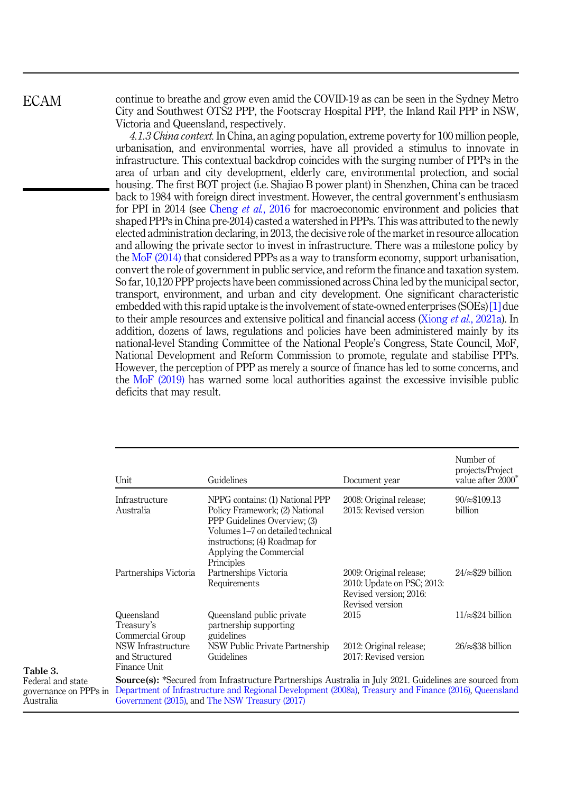Table 3. Federal and state governance on PPPs Australia

<span id="page-7-0"></span>continue to breathe and grow even amid the COVID-19 as can be seen in the Sydney Metro City and Southwest OTS2 PPP, the Footscray Hospital PPP, the Inland Rail PPP in NSW, Victoria and Queensland, respectively.

4.1.3 China context. In China, an aging population, extreme poverty for 100 million people, urbanisation, and environmental worries, have all provided a stimulus to innovate in infrastructure. This contextual backdrop coincides with the surging number of PPPs in the area of urban and city development, elderly care, environmental protection, and social housing. The first BOT project (i.e. Shajiao B power plant) in Shenzhen, China can be traced back to 1984 with foreign direct investment. However, the central government's enthusiasm for PPI in 2014 (see [Cheng](#page-14-0) *et al.*, 2016 for macroeconomic environment and policies that shaped PPPs in China pre-2014) casted a watershed in PPPs. This was attributed to the newly elected administration declaring, in 2013, the decisive role of the market in resource allocation and allowing the private sector to invest in infrastructure. There was a milestone policy by the [MoF \(2014\)](#page-16-0) that considered PPPs as a way to transform economy, support urbanisation, convert the role of government in public service, and reform the finance and taxation system. So far, 10,120 PPP projects have been commissioned across China led by the municipal sector, transport, environment, and urban and city development. One significant characteristic embedded with this rapid uptake is the involvement of state-owned enterprises (SOEs) [\[1\]](#page-13-0) due to their ample resources and extensive political and financial access (Xiong *et al.*[, 2021a\)](#page-18-0). In addition, dozens of laws, regulations and policies have been administered mainly by its national-level Standing Committee of the National People's Congress, State Council, MoF, National Development and Reform Commission to promote, regulate and stabilise PPPs. However, the perception of PPP as merely a source of finance has led to some concerns, and the [MoF \(2019\)](#page-16-0) has warned some local authorities against the excessive invisible public deficits that may result.

| Unit                                                 | Guidelines                                                                                                                                                                                                                                                                  | Document year                                                                                      | Number of<br>projects/Project<br>value after 2000 <sup>*</sup> |
|------------------------------------------------------|-----------------------------------------------------------------------------------------------------------------------------------------------------------------------------------------------------------------------------------------------------------------------------|----------------------------------------------------------------------------------------------------|----------------------------------------------------------------|
| Infrastructure<br>Australia                          | NPPG contains: (1) National PPP<br>Policy Framework; (2) National<br>PPP Guidelines Overview; (3)<br>Volumes 1-7 on detailed technical<br>instructions; (4) Roadmap for<br>Applying the Commercial<br>Principles                                                            | 2008: Original release;<br>2015: Revised version                                                   | $90/\approx $109.13$<br>billion                                |
| Partnerships Victoria                                | Partnerships Victoria<br>Requirements                                                                                                                                                                                                                                       | 2009: Original release;<br>2010: Update on PSC; 2013:<br>Revised version; 2016:<br>Revised version | $24/\approx 29$ billion                                        |
| Queensland<br>Treasury's<br>Commercial Group         | Queensland public private<br>partnership supporting<br>guidelines                                                                                                                                                                                                           | 2015                                                                                               | $11/\approx 24$ billion                                        |
| NSW Infrastructure<br>and Structured<br>Finance Unit | NSW Public Private Partnership<br>Guidelines                                                                                                                                                                                                                                | 2012: Original release;<br>2017: Revised version                                                   | $26/\approx 338$ billion                                       |
|                                                      | <b>Source(s):</b> *Secured from Infrastructure Partnerships Australia in July 2021. Guidelines are sourced from<br>Department of Infrastructure and Regional Development (2008a), Treasury and Finance (2016), Queensland<br>Government (2015), and The NSW Treasury (2017) |                                                                                                    |                                                                |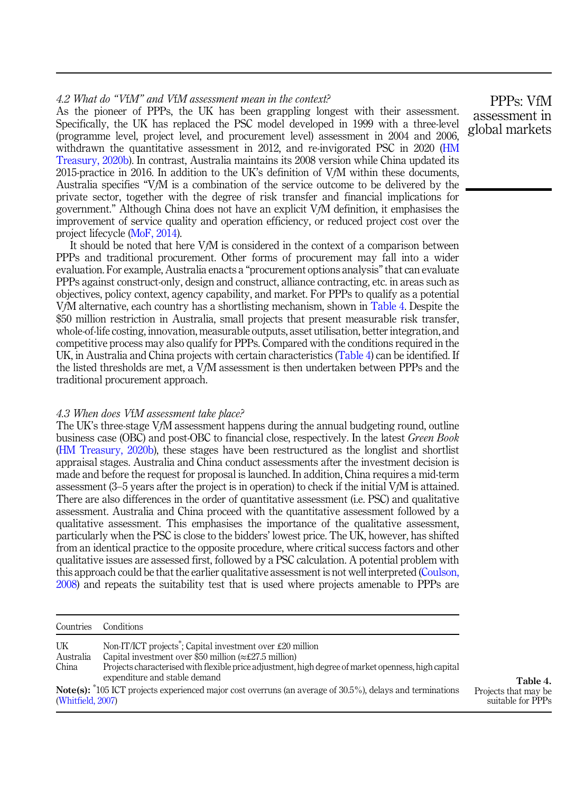## 4.2 What do "ViM" and ViM assessment mean in the context?

As the pioneer of PPPs, the UK has been grappling longest with their assessment. Specifically, the UK has replaced the PSC model developed in 1999 with a three-level (programme level, project level, and procurement level) assessment in 2004 and 2006, withdrawn the quantitative assessment in 2012, and re-invigorated PSC in 2020 ([HM](#page-15-0) [Treasury, 2020b\)](#page-15-0). In contrast, Australia maintains its 2008 version while China updated its 2015-practice in 2016. In addition to the UK's definition of VfM within these documents, Australia specifies "VfM is a combination of the service outcome to be delivered by the private sector, together with the degree of risk transfer and financial implications for government." Although China does not have an explicit VfM definition, it emphasises the improvement of service quality and operation efficiency, or reduced project cost over the project lifecycle [\(MoF, 2014\)](#page-16-0).

It should be noted that here VfM is considered in the context of a comparison between PPPs and traditional procurement. Other forms of procurement may fall into a wider evaluation. For example, Australia enacts a "procurement options analysis"that can evaluate PPPs against construct-only, design and construct, alliance contracting, etc. in areas such as objectives, policy context, agency capability, and market. For PPPs to qualify as a potential VfM alternative, each country has a shortlisting mechanism, shown in Table 4. Despite the \$50 million restriction in Australia, small projects that present measurable risk transfer, whole-of-life costing, innovation, measurable outputs, asset utilisation, better integration, and competitive process may also qualify for PPPs. Compared with the conditions required in the UK, in Australia and China projects with certain characteristics (Table 4) can be identified. If the listed thresholds are met, a VfM assessment is then undertaken between PPPs and the traditional procurement approach.

#### 4.3 When does VfM assessment take place?

The UK's three-stage VfM assessment happens during the annual budgeting round, outline business case (OBC) and post-OBC to financial close, respectively. In the latest Green Book ([HM Treasury, 2020b\)](#page-15-0), these stages have been restructured as the longlist and shortlist appraisal stages. Australia and China conduct assessments after the investment decision is made and before the request for proposal is launched. In addition, China requires a mid-term assessment (3–5 years after the project is in operation) to check if the initial VfM is attained. There are also differences in the order of quantitative assessment (i.e. PSC) and qualitative assessment. Australia and China proceed with the quantitative assessment followed by a qualitative assessment. This emphasises the importance of the qualitative assessment, particularly when the PSC is close to the bidders' lowest price. The UK, however, has shifted from an identical practice to the opposite procedure, where critical success factors and other qualitative issues are assessed first, followed by a PSC calculation. A potential problem with this approach could be that the earlier qualitative assessment is not well interpreted ([Coulson,](#page-14-0) [2008\)](#page-14-0) and repeats the suitability test that is used where projects amenable to PPPs are

| Countries                | Conditions                                                                                                                                                                                                                                       |                                                       |
|--------------------------|--------------------------------------------------------------------------------------------------------------------------------------------------------------------------------------------------------------------------------------------------|-------------------------------------------------------|
| UK<br>Australia<br>China | Non-IT/ICT projects <sup>*</sup> ; Capital investment over £20 million<br>Capital investment over \$50 million ( $\approx$ £27.5 million)<br>Projects characterised with flexible price adjustment, high degree of market openness, high capital |                                                       |
| (Whitfield, 2007)        | expenditure and stable demand<br><b>Note(s):</b> $*105$ ICT projects experienced major cost overruns (an average of 30.5%), delays and terminations                                                                                              | Table 4.<br>Projects that may be<br>suitable for PPPs |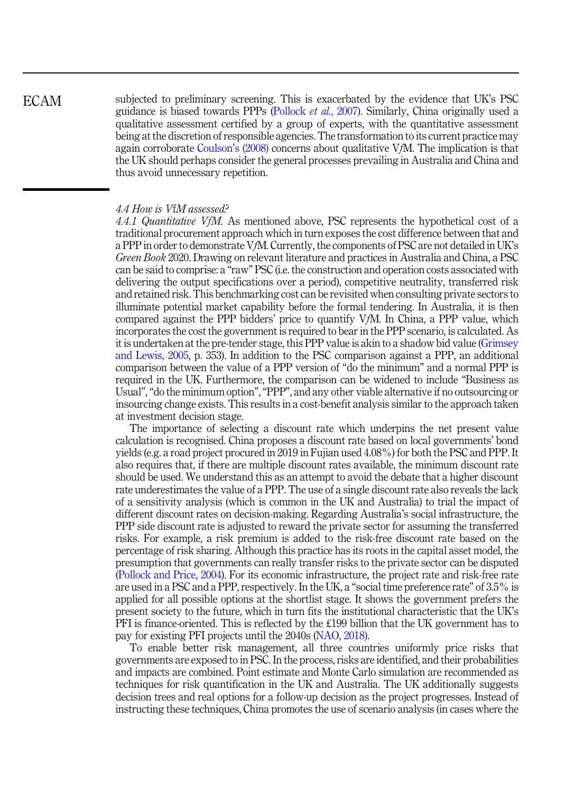subjected to preliminary screening. This is exacerbated by the evidence that UK's PSC guidance is biased towards PPPs ([Pollock](#page-17-0) et al., 2007). Similarly, China originally used a qualitative assessment certified by a group of experts, with the quantitative assessment being at the discretion of responsible agencies. The transformation to its current practice may again corroborate [Coulson](#page-14-0)'s (2008) concerns about qualitative VfM. The implication is that the UK should perhaps consider the general processes prevailing in Australia and China and thus avoid unnecessary repetition. ECAM

#### 4.4 How is VfM assessed?

4.4.1 Quantitative VfM. As mentioned above, PSC represents the hypothetical cost of a traditional procurement approach which in turn exposes the cost difference between that and a PPP in order to demonstrate VfM. Currently, the components of PSC are not detailed in UK's Green Book 2020. Drawing on relevant literature and practices in Australia and China, a PSC can be said to comprise: a "raw" PSC (i.e. the construction and operation costs associated with delivering the output specifications over a period), competitive neutrality, transferred risk and retained risk. This benchmarking cost can be revisited when consulting private sectors to illuminate potential market capability before the formal tendering. In Australia, it is then compared against the PPP bidders' price to quantify VfM. In China, a PPP value, which incorporates the cost the government is required to bear in the PPP scenario, is calculated. As it is undertaken at the pre-tender stage, this PPP value is akin to a shadow bid value ([Grimsey](#page-15-0) [and Lewis, 2005,](#page-15-0) p. 353). In addition to the PSC comparison against a PPP, an additional comparison between the value of a PPP version of "do the minimum" and a normal PPP is required in the UK. Furthermore, the comparison can be widened to include "Business as Usual","do the minimum option","PPP", and any other viable alternative if no outsourcing or insourcing change exists. This results in a cost-benefit analysis similar to the approach taken at investment decision stage.

The importance of selecting a discount rate which underpins the net present value calculation is recognised. China proposes a discount rate based on local governments' bond yields (e.g. a road project procured in 2019 in Fujian used 4.08%) for both the PSC and PPP. It also requires that, if there are multiple discount rates available, the minimum discount rate should be used. We understand this as an attempt to avoid the debate that a higher discount rate underestimates the value of a PPP. The use of a single discount rate also reveals the lack of a sensitivity analysis (which is common in the UK and Australia) to trial the impact of different discount rates on decision-making. Regarding Australia's social infrastructure, the PPP side discount rate is adjusted to reward the private sector for assuming the transferred risks. For example, a risk premium is added to the risk-free discount rate based on the percentage of risk sharing. Although this practice has its roots in the capital asset model, the presumption that governments can really transfer risks to the private sector can be disputed ([Pollock and Price, 2004](#page-17-0)). For its economic infrastructure, the project rate and risk-free rate are used in a PSC and a PPP, respectively. In the UK, a "social time preference rate" of 3.5% is applied for all possible options at the shortlist stage. It shows the government prefers the present society to the future, which in turn fits the institutional characteristic that the UK's PFI is finance-oriented. This is reflected by the £199 billion that the UK government has to pay for existing PFI projects until the 2040s [\(NAO, 2018\)](#page-17-0).

To enable better risk management, all three countries uniformly price risks that governments are exposed to in PSC. In the process, risks are identified, and their probabilities and impacts are combined. Point estimate and Monte Carlo simulation are recommended as techniques for risk quantification in the UK and Australia. The UK additionally suggests decision trees and real options for a follow-up decision as the project progresses. Instead of instructing these techniques, China promotes the use of scenario analysis (in cases where the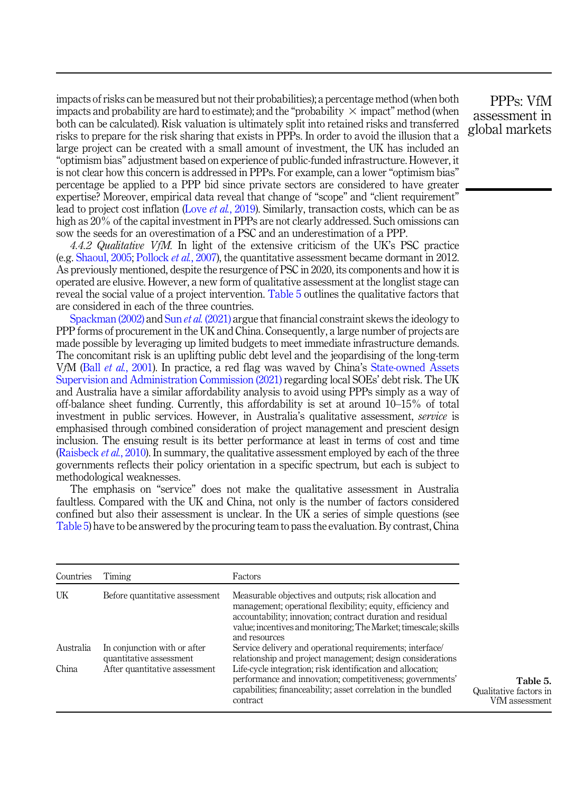<span id="page-10-0"></span>impacts of risks can be measured but not their probabilities); a percentage method (when both impacts and probability are hard to estimate); and the "probability  $\times$  impact" method (when both can be calculated). Risk valuation is ultimately split into retained risks and transferred risks to prepare for the risk sharing that exists in PPPs. In order to avoid the illusion that a large project can be created with a small amount of investment, the UK has included an "optimism bias" adjustment based on experience of public-funded infrastructure. However, it is not clear how this concern is addressed in PPPs. For example, can a lower "optimism bias" percentage be applied to a PPP bid since private sectors are considered to have greater expertise? Moreover, empirical data reveal that change of "scope" and "client requirement" lead to project cost inflation (Love et al.[, 2019](#page-16-0)). Similarly, transaction costs, which can be as high as 20% of the capital investment in PPPs are not clearly addressed. Such omissions can sow the seeds for an overestimation of a PSC and an underestimation of a PPP.

4.4.2 Qualitative VfM. In light of the extensive criticism of the UK's PSC practice (e.g. [Shaoul, 2005](#page-17-0); [Pollock](#page-17-0) et al., 2007), the quantitative assessment became dormant in 2012. As previously mentioned, despite the resurgence of PSC in 2020, its components and how it is operated are elusive. However, a new form of qualitative assessment at the longlist stage can reveal the social value of a project intervention. Table 5 outlines the qualitative factors that are considered in each of the three countries.

[Spackman \(2002\)](#page-17-0) and Sun et al. [\(2021\)](#page-18-0) argue that financial constraint skews the ideology to PPP forms of procurement in the UK and China. Consequently, a large number of projects are made possible by leveraging up limited budgets to meet immediate infrastructure demands. The concomitant risk is an uplifting public debt level and the jeopardising of the long-term VfM (Ball et al.[, 2001\)](#page-14-0). In practice, a red flag was waved by China's [State-owned Assets](#page-18-0) [Supervision and Administration Commission \(2021\)](#page-18-0) regarding local SOEs' debt risk. The UK and Australia have a similar affordability analysis to avoid using PPPs simply as a way of off-balance sheet funding. Currently, this affordability is set at around 10–15% of total investment in public services. However, in Australia's qualitative assessment, service is emphasised through combined consideration of project management and prescient design inclusion. The ensuing result is its better performance at least in terms of cost and time ([Raisbeck](#page-17-0) *et al.*, 2010). In summary, the qualitative assessment employed by each of the three governments reflects their policy orientation in a specific spectrum, but each is subject to methodological weaknesses.

The emphasis on "service" does not make the qualitative assessment in Australia faultless. Compared with the UK and China, not only is the number of factors considered confined but also their assessment is unclear. In the UK a series of simple questions (see Table 5) have to be answered by the procuring team to pass the evaluation. By contrast, China

| Countries | Timing                                                  | Factors                                                                                                                                                                                                                                                                 |                                                      |
|-----------|---------------------------------------------------------|-------------------------------------------------------------------------------------------------------------------------------------------------------------------------------------------------------------------------------------------------------------------------|------------------------------------------------------|
| UK        | Before quantitative assessment                          | Measurable objectives and outputs; risk allocation and<br>management; operational flexibility; equity, efficiency and<br>accountability; innovation; contract duration and residual<br>value; incentives and monitoring; The Market; timescale; skills<br>and resources |                                                      |
| Australia | In conjunction with or after<br>quantitative assessment | Service delivery and operational requirements; interface/<br>relationship and project management; design considerations                                                                                                                                                 |                                                      |
| China     | After quantitative assessment                           | Life-cycle integration; risk identification and allocation;<br>performance and innovation; competitiveness; governments'<br>capabilities; financeability; asset correlation in the bundled<br>contract                                                                  | Table 5.<br>Qualitative factors in<br>VfM assessment |

PPPs: VfM assessment in global markets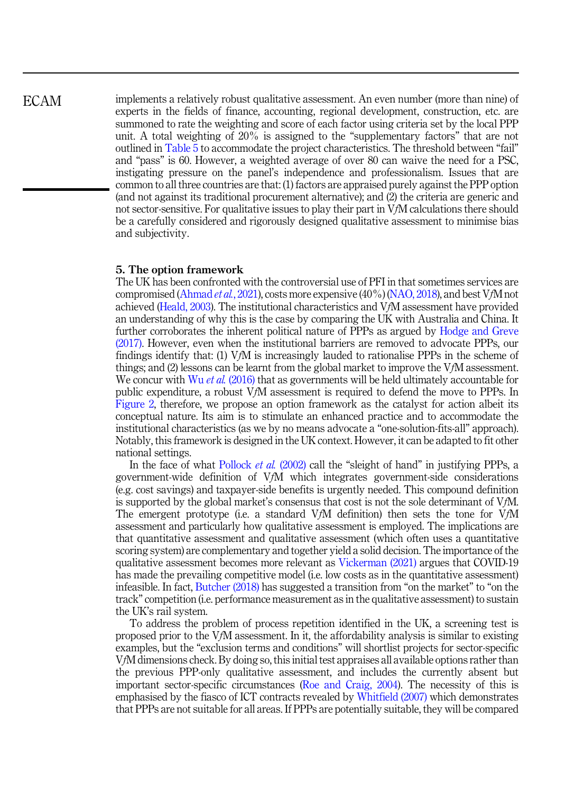implements a relatively robust qualitative assessment. An even number (more than nine) of experts in the fields of finance, accounting, regional development, construction, etc. are summoned to rate the weighting and score of each factor using criteria set by the local PPP unit. A total weighting of 20% is assigned to the "supplementary factors" that are not outlined in [Table 5](#page-10-0) to accommodate the project characteristics. The threshold between "fail" and "pass" is 60. However, a weighted average of over 80 can waive the need for a PSC, instigating pressure on the panel's independence and professionalism. Issues that are common to all three countries are that: (1) factors are appraised purely against the PPP option (and not against its traditional procurement alternative); and (2) the criteria are generic and not sector-sensitive. For qualitative issues to play their part in VfM calculations there should be a carefully considered and rigorously designed qualitative assessment to minimise bias and subjectivity.

#### 5. The option framework

The UK has been confronted with the controversial use of PFI in that sometimes services are compromised [\(Ahmad](#page-14-0) *et al.*, 2021), costs more expensive  $(40\%)$  ([NAO, 2018](#page-17-0)), and best VfM not achieved [\(Heald, 2003\)](#page-15-0). The institutional characteristics and VfM assessment have provided an understanding of why this is the case by comparing the UK with Australia and China. It further corroborates the inherent political nature of PPPs as argued by [Hodge and Greve](#page-15-0) [\(2017\).](#page-15-0) However, even when the institutional barriers are removed to advocate PPPs, our findings identify that: (1) VfM is increasingly lauded to rationalise PPPs in the scheme of things; and (2) lessons can be learnt from the global market to improve the VfM assessment. We concur with Wu *et al.* [\(2016\)](#page-18-0) that as governments will be held ultimately accountable for public expenditure, a robust VfM assessment is required to defend the move to PPPs. In [Figure 2](#page-12-0), therefore, we propose an option framework as the catalyst for action albeit its conceptual nature. Its aim is to stimulate an enhanced practice and to accommodate the institutional characteristics (as we by no means advocate a "one-solution-fits-all" approach). Notably, this framework is designed in the UK context. However, it can be adapted to fit other national settings.

In the face of what [Pollock](#page-17-0) *et al.* (2002) call the "sleight of hand" in justifying PPPs, a government-wide definition of VfM which integrates government-side considerations (e.g. cost savings) and taxpayer-side benefits is urgently needed. This compound definition is supported by the global market's consensus that cost is not the sole determinant of VfM. The emergent prototype (i.e. a standard VfM definition) then sets the tone for VfM assessment and particularly how qualitative assessment is employed. The implications are that quantitative assessment and qualitative assessment (which often uses a quantitative scoring system) are complementary and together yield a solid decision. The importance of the qualitative assessment becomes more relevant as [Vickerman \(2021\)](#page-18-0) argues that COVID-19 has made the prevailing competitive model (i.e. low costs as in the quantitative assessment) infeasible. In fact, [Butcher \(2018\)](#page-14-0) has suggested a transition from "on the market" to "on the track" competition (i.e. performance measurement as in the qualitative assessment) to sustain the UK's rail system.

To address the problem of process repetition identified in the UK, a screening test is proposed prior to the VfM assessment. In it, the affordability analysis is similar to existing examples, but the "exclusion terms and conditions" will shortlist projects for sector-specific VfM dimensions check. By doing so, this initial test appraises all available options rather than the previous PPP-only qualitative assessment, and includes the currently absent but important sector-specific circumstances ([Roe and Craig, 2004](#page-17-0)). The necessity of this is emphasised by the fiasco of ICT contracts revealed by [Whitfield \(2007\)](#page-18-0) which demonstrates that PPPs are not suitable for all areas. If PPPs are potentially suitable, they will be compared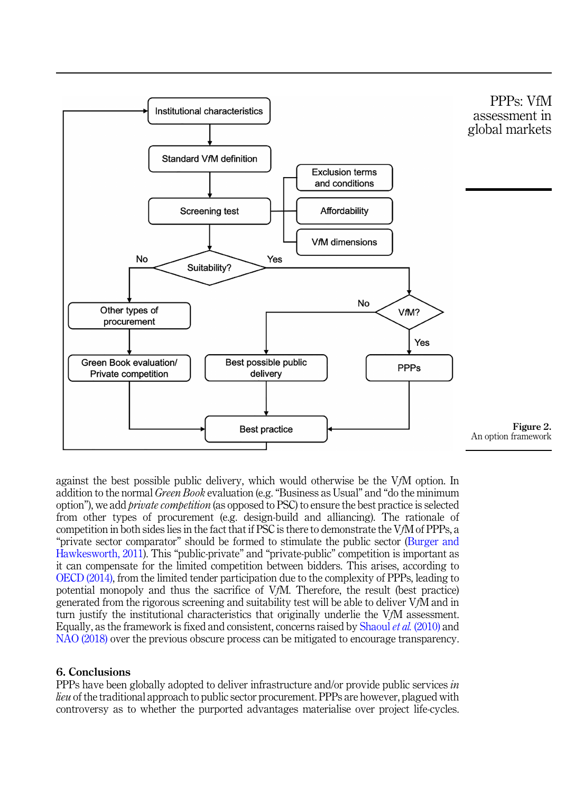<span id="page-12-0"></span>

against the best possible public delivery, which would otherwise be the VfM option. In addition to the normal Green Book evaluation (e.g. "Business as Usual" and "do the minimum option"), we add private competition (as opposed to PSC) to ensure the best practice is selected from other types of procurement (e.g. design-build and alliancing). The rationale of competition in both sides lies in the fact that if PSC is there to demonstrate the VfM of PPPs, a "private sector comparator" should be formed to stimulate the public sector ([Burger and](#page-14-0) [Hawkesworth, 2011\)](#page-14-0). This "public-private" and "private-public" competition is important as it can compensate for the limited competition between bidders. This arises, according to [OECD \(2014\),](#page-17-0) from the limited tender participation due to the complexity of PPPs, leading to potential monopoly and thus the sacrifice of VfM. Therefore, the result (best practice) generated from the rigorous screening and suitability test will be able to deliver VfM and in turn justify the institutional characteristics that originally underlie the VfM assessment. Equally, as the framework is fixed and consistent, concerns raised by [Shaoul](#page-17-0) et al. (2010) and [NAO \(2018\)](#page-17-0) over the previous obscure process can be mitigated to encourage transparency.

## 6. Conclusions

PPPs have been globally adopted to deliver infrastructure and/or provide public services in lieu of the traditional approach to public sector procurement. PPPs are however, plagued with controversy as to whether the purported advantages materialise over project life-cycles.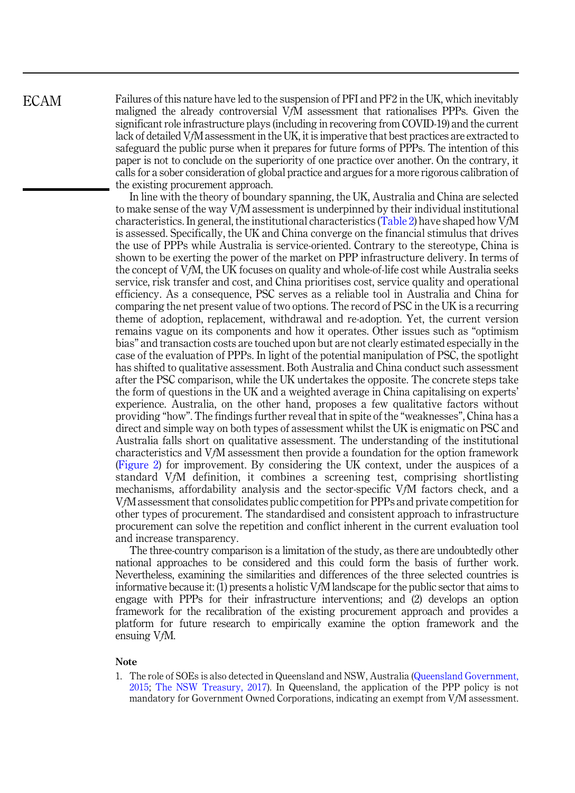Failures of this nature have led to the suspension of PFI and PF2 in the UK, which inevitably maligned the already controversial VfM assessment that rationalises PPPs. Given the significant role infrastructure plays (including in recovering from COVID-19) and the current lack of detailed VfM assessment in the UK, it is imperative that best practices are extracted to safeguard the public purse when it prepares for future forms of PPPs. The intention of this paper is not to conclude on the superiority of one practice over another. On the contrary, it calls for a sober consideration of global practice and argues for a more rigorous calibration of the existing procurement approach.

In line with the theory of boundary spanning, the UK, Australia and China are selected to make sense of the way VfM assessment is underpinned by their individual institutional characteristics. In general, the institutional characteristics ([Table 2](#page-6-0)) have shaped how  $VfM$ is assessed. Specifically, the UK and China converge on the financial stimulus that drives the use of PPPs while Australia is service-oriented. Contrary to the stereotype, China is shown to be exerting the power of the market on PPP infrastructure delivery. In terms of the concept of VfM, the UK focuses on quality and whole-of-life cost while Australia seeks service, risk transfer and cost, and China prioritises cost, service quality and operational efficiency. As a consequence, PSC serves as a reliable tool in Australia and China for comparing the net present value of two options. The record of PSC in the UK is a recurring theme of adoption, replacement, withdrawal and re-adoption. Yet, the current version remains vague on its components and how it operates. Other issues such as "optimism bias" and transaction costs are touched upon but are not clearly estimated especially in the case of the evaluation of PPPs. In light of the potential manipulation of PSC, the spotlight has shifted to qualitative assessment. Both Australia and China conduct such assessment after the PSC comparison, while the UK undertakes the opposite. The concrete steps take the form of questions in the UK and a weighted average in China capitalising on experts' experience. Australia, on the other hand, proposes a few qualitative factors without providing "how". The findings further reveal that in spite of the "weaknesses", China has a direct and simple way on both types of assessment whilst the UK is enigmatic on PSC and Australia falls short on qualitative assessment. The understanding of the institutional characteristics and VfM assessment then provide a foundation for the option framework ([Figure 2](#page-12-0)) for improvement. By considering the UK context, under the auspices of a standard VfM definition, it combines a screening test, comprising shortlisting mechanisms, affordability analysis and the sector-specific VfM factors check, and a VfM assessment that consolidates public competition for PPPs and private competition for other types of procurement. The standardised and consistent approach to infrastructure procurement can solve the repetition and conflict inherent in the current evaluation tool and increase transparency.

The three-country comparison is a limitation of the study, as there are undoubtedly other national approaches to be considered and this could form the basis of further work. Nevertheless, examining the similarities and differences of the three selected countries is informative because it: (1) presents a holistic VfM landscape for the public sector that aims to engage with PPPs for their infrastructure interventions; and (2) develops an option framework for the recalibration of the existing procurement approach and provides a platform for future research to empirically examine the option framework and the ensuing VfM.

#### Note

1. The role of SOEs is also detected in Queensland and NSW, Australia [\(Queensland Government,](#page-17-0) [2015;](#page-17-0) [The NSW Treasury, 2017](#page-18-0)). In Queensland, the application of the PPP policy is not mandatory for Government Owned Corporations, indicating an exempt from VfM assessment.

<span id="page-13-0"></span>ECAM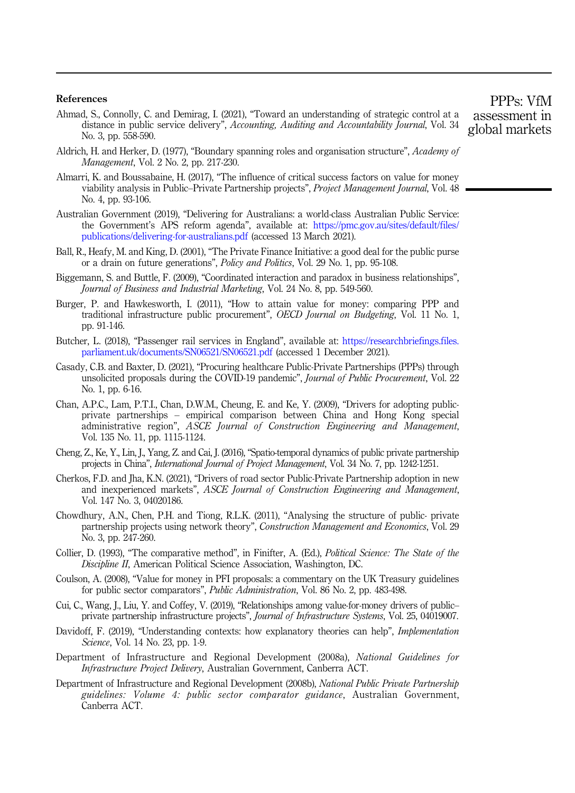#### <span id="page-14-0"></span>References

- Ahmad, S., Connolly, C. and Demirag, I. (2021), "Toward an understanding of strategic control at a distance in public service delivery", Accounting, Auditing and Accountability Journal, Vol. 34 No. 3, pp. 558-590.
- Aldrich, H. and Herker, D. (1977), "Boundary spanning roles and organisation structure", Academy of Management, Vol. 2 No. 2, pp. 217-230.
- Almarri, K. and Boussabaine, H. (2017), "The influence of critical success factors on value for money viability analysis in Public–Private Partnership projects", Project Management Journal, Vol. 48 No. 4, pp. 93-106.
- Australian Government (2019), "Delivering for Australians: a world-class Australian Public Service: the Government's APS reform agenda", available at: [https://pmc.gov.au/sites/default/files/](https://pmc.gov.au/sites/default/files/publications/delivering-for-australians.pdf) [publications/delivering-for-australians.pdf](https://pmc.gov.au/sites/default/files/publications/delivering-for-australians.pdf) (accessed 13 March 2021).
- Ball, R., Heafy, M. and King, D. (2001), "The Private Finance Initiative: a good deal for the public purse or a drain on future generations", Policy and Politics, Vol. 29 No. 1, pp. 95-108.
- Biggemann, S. and Buttle, F. (2009), "Coordinated interaction and paradox in business relationships", Journal of Business and Industrial Marketing, Vol. 24 No. 8, pp. 549-560.
- Burger, P. and Hawkesworth, I. (2011), "How to attain value for money: comparing PPP and traditional infrastructure public procurement", OECD Journal on Budgeting, Vol. 11 No. 1, pp. 91-146.
- Butcher, L. (2018), "Passenger rail services in England", available at: [https://researchbriefings.files.](https://researchbriefings.files.parliament.uk/documents/SN06521/SN06521.pdf) [parliament.uk/documents/SN06521/SN06521.pdf](https://researchbriefings.files.parliament.uk/documents/SN06521/SN06521.pdf) (accessed 1 December 2021).
- Casady, C.B. and Baxter, D. (2021), "Procuring healthcare Public-Private Partnerships (PPPs) through unsolicited proposals during the COVID-19 pandemic", Journal of Public Procurement, Vol. 22 No. 1, pp. 6-16.
- Chan, A.P.C., Lam, P.T.I., Chan, D.W.M., Cheung, E. and Ke, Y. (2009), "Drivers for adopting publicprivate partnerships – empirical comparison between China and Hong Kong special administrative region", ASCE Journal of Construction Engineering and Management, Vol. 135 No. 11, pp. 1115-1124.
- Cheng, Z., Ke, Y., Lin, J., Yang, Z. and Cai, J. (2016), "Spatio-temporal dynamics of public private partnership projects in China", International Journal of Project Management, Vol. 34 No. 7, pp. 1242-1251.
- Cherkos, F.D. and Jha, K.N. (2021), "Drivers of road sector Public-Private Partnership adoption in new and inexperienced markets", ASCE Journal of Construction Engineering and Management, Vol. 147 No. 3, 04020186.
- Chowdhury, A.N., Chen, P.H. and Tiong, R.L.K. (2011), "Analysing the structure of public- private partnership projects using network theory", Construction Management and Economics, Vol. 29 No. 3, pp. 247-260.
- Collier, D. (1993), "The comparative method", in Finifter, A. (Ed.), Political Science: The State of the Discipline II, American Political Science Association, Washington, DC.
- Coulson, A. (2008), "Value for money in PFI proposals: a commentary on the UK Treasury guidelines for public sector comparators", *Public Administration*, Vol. 86 No. 2, pp. 483-498.
- Cui, C., Wang, J., Liu, Y. and Coffey, V. (2019), "Relationships among value-for-money drivers of public– private partnership infrastructure projects", Journal of Infrastructure Systems, Vol. 25, 04019007.
- Davidoff, F. (2019), "Understanding contexts: how explanatory theories can help", *Implementation* Science, Vol. 14 No. 23, pp. 1-9.
- Department of Infrastructure and Regional Development (2008a), National Guidelines for Infrastructure Project Delivery, Australian Government, Canberra ACT.
- Department of Infrastructure and Regional Development (2008b), National Public Private Partnership guidelines: Volume 4: public sector comparator guidance, Australian Government, Canberra ACT.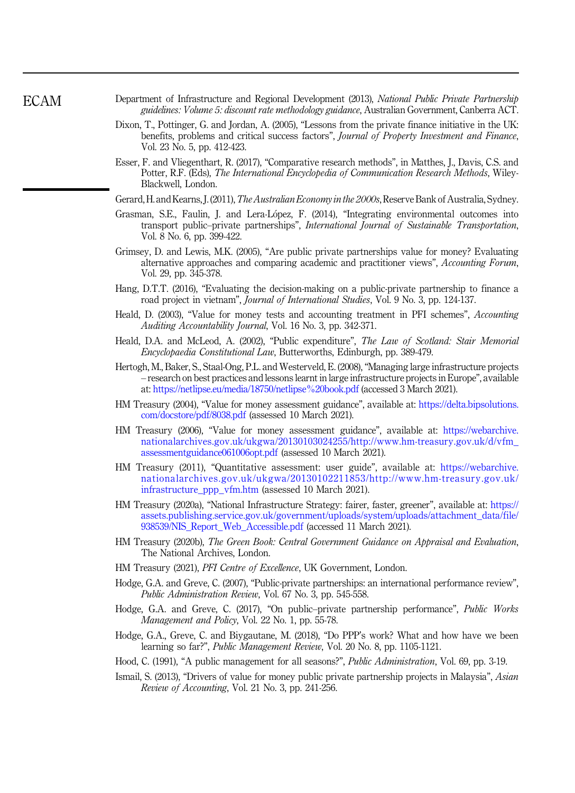- <span id="page-15-0"></span>Department of Infrastructure and Regional Development (2013), National Public Private Partnership guidelines: Volume 5: discount rate methodology guidance, Australian Government, Canberra ACT.
- Dixon, T., Pottinger, G. and Jordan, A. (2005), "Lessons from the private finance initiative in the UK: benefits, problems and critical success factors", Journal of Property Investment and Finance, Vol. 23 No. 5, pp. 412-423.
- Esser, F. and Vliegenthart, R. (2017), "Comparative research methods", in Matthes, J., Davis, C.S. and Potter, R.F. (Eds), The International Encyclopedia of Communication Research Methods, Wiley-Blackwell, London.
- Gerard, H. and Kearns, J. (2011), The Australian Economy in the 2000s, Reserve Bank of Australia, Sydney.
- Grasman, S.E., Faulin, J. and Lera-Lopez, F. (2014), "Integrating environmental outcomes into transport public–private partnerships", International Journal of Sustainable Transportation, Vol. 8 No. 6, pp. 399-422.
- Grimsey, D. and Lewis, M.K. (2005), "Are public private partnerships value for money? Evaluating alternative approaches and comparing academic and practitioner views", Accounting Forum, Vol. 29, pp. 345-378.
- Hang, D.T.T. (2016), "Evaluating the decision-making on a public-private partnership to finance a road project in vietnam", Journal of International Studies, Vol. 9 No. 3, pp. 124-137.
- Heald, D. (2003), "Value for money tests and accounting treatment in PFI schemes", Accounting Auditing Accountability Journal, Vol. 16 No. 3, pp. 342-371.
- Heald, D.A. and McLeod, A. (2002), "Public expenditure", The Law of Scotland: Stair Memorial Encyclopaedia Constitutional Law, Butterworths, Edinburgh, pp. 389-479.
- Hertogh, M., Baker, S., Staal-Ong, P.L. and Westerveld, E. (2008), "Managing large infrastructure projects – research on best practices and lessons learnt in large infrastructure projects in Europe", available at: <https://netlipse.eu/media/18750/netlipse%20book.pdf> (accessed 3 March 2021).
- HM Treasury (2004), "Value for money assessment guidance", available at: [https://delta.bipsolutions.](https://delta.bipsolutions.com/docstore/pdf/8038.pdf) [com/docstore/pdf/8038.pdf](https://delta.bipsolutions.com/docstore/pdf/8038.pdf) (assessed 10 March 2021).
- HM Treasury (2006), "Value for money assessment guidance", available at: [https://webarchive.](https://webarchive.nationalarchives.gov.uk/ukgwa/20130103024255/http://www.hm-treasury.gov.uk/d/vfm_assessmentguidance061006opt.pdf) [nationalarchives.gov.uk/ukgwa/20130103024255/http://www.hm-treasury.gov.uk/d/vfm\\_](https://webarchive.nationalarchives.gov.uk/ukgwa/20130103024255/http://www.hm-treasury.gov.uk/d/vfm_assessmentguidance061006opt.pdf) [assessmentguidance061006opt.pdf](https://webarchive.nationalarchives.gov.uk/ukgwa/20130103024255/http://www.hm-treasury.gov.uk/d/vfm_assessmentguidance061006opt.pdf) (assessed 10 March 2021).
- HM Treasury (2011), "Quantitative assessment: user guide", available at: [https://webarchive.](https://webarchive.nationalarchives.gov.uk/ukgwa/20130102211853/http://www.hm-treasury.gov.uk/infrastructure_ppp_vfm.htm) [nationalarchives.gov.uk/ukgwa/20130102211853/http://www.hm-treasury.gov.uk/](https://webarchive.nationalarchives.gov.uk/ukgwa/20130102211853/http://www.hm-treasury.gov.uk/infrastructure_ppp_vfm.htm) [infrastructure\\_ppp\\_vfm.htm](https://webarchive.nationalarchives.gov.uk/ukgwa/20130102211853/http://www.hm-treasury.gov.uk/infrastructure_ppp_vfm.htm) (assessed 10 March 2021).
- HM Treasury (2020a), "National Infrastructure Strategy: fairer, faster, greener", available at: [https://](https://assets.publishing.service.gov.uk/government/uploads/system/uploads/attachment_data/file/938539/NIS_Report_Web_Accessible.pdf) [assets.publishing.service.gov.uk/government/uploads/system/uploads/attachment\\_data/file/](https://assets.publishing.service.gov.uk/government/uploads/system/uploads/attachment_data/file/938539/NIS_Report_Web_Accessible.pdf) [938539/NIS\\_Report\\_Web\\_Accessible.pdf](https://assets.publishing.service.gov.uk/government/uploads/system/uploads/attachment_data/file/938539/NIS_Report_Web_Accessible.pdf) (accessed 11 March 2021).
- HM Treasury (2020b), The Green Book: Central Government Guidance on Appraisal and Evaluation, The National Archives, London.
- HM Treasury (2021), PFI Centre of Excellence, UK Government, London.
- Hodge, G.A. and Greve, C. (2007), "Public-private partnerships: an international performance review", Public Administration Review, Vol. 67 No. 3, pp. 545-558.
- Hodge, G.A. and Greve, C. (2017), "On public–private partnership performance", Public Works Management and Policy, Vol. 22 No. 1, pp. 55-78.
- Hodge, G.A., Greve, C. and Biygautane, M. (2018), "Do PPP's work? What and how have we been learning so far?", Public Management Review, Vol. 20 No. 8, pp. 1105-1121.
- Hood, C. (1991), "A public management for all seasons?", Public Administration, Vol. 69, pp. 3-19.
- Ismail, S. (2013), "Drivers of value for money public private partnership projects in Malaysia", Asian Review of Accounting, Vol. 21 No. 3, pp. 241-256.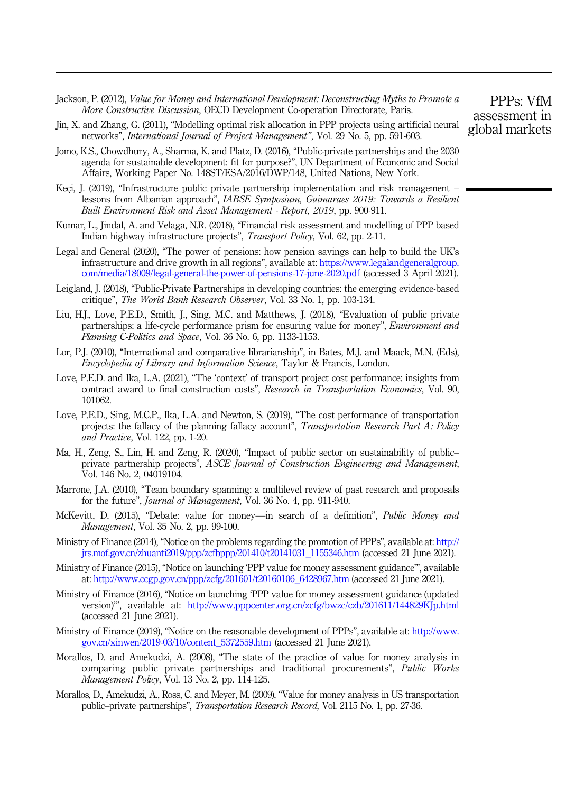- <span id="page-16-0"></span>Jackson, P. (2012), Value for Money and International Development: Deconstructing Myths to Promote a More Constructive Discussion, OECD Development Co-operation Directorate, Paris.
- Jin, X. and Zhang, G. (2011), "Modelling optimal risk allocation in PPP projects using artificial neural networks", International Journal of Project Management", Vol. 29 No. 5, pp. 591-603.
- Jomo, K.S., Chowdhury, A., Sharma, K. and Platz, D. (2016), "Public-private partnerships and the 2030 agenda for sustainable development: fit for purpose?", UN Department of Economic and Social Affairs, Working Paper No. 148ST/ESA/2016/DWP/148, United Nations, New York.
- Keci, J. (2019), "Infrastructure public private partnership implementation and risk management lessons from Albanian approach", IABSE Symposium, Guimaraes 2019: Towards a Resilient Built Environment Risk and Asset Management - Report, 2019, pp. 900-911.
- Kumar, L., Jindal, A. and Velaga, N.R. (2018), "Financial risk assessment and modelling of PPP based Indian highway infrastructure projects", Transport Policy, Vol. 62, pp. 2-11.
- Legal and General (2020), "The power of pensions: how pension savings can help to build the UK's infrastructure and drive growth in all regions", available at: [https://www.legalandgeneralgroup.](https://www.legalandgeneralgroup.com/media/18009/legal-general-the-power-of-pensions-17-june-2020.pdf) [com/media/18009/legal-general-the-power-of-pensions-17-june-2020.pdf](https://www.legalandgeneralgroup.com/media/18009/legal-general-the-power-of-pensions-17-june-2020.pdf) (accessed 3 April 2021).
- Leigland, J. (2018), "Public-Private Partnerships in developing countries: the emerging evidence-based critique", The World Bank Research Observer, Vol. 33 No. 1, pp. 103-134.
- Liu, H.J., Love, P.E.D., Smith, J., Sing, M.C. and Matthews, J. (2018), "Evaluation of public private partnerships: a life-cycle performance prism for ensuring value for money", Environment and Planning C-Politics and Space, Vol. 36 No. 6, pp. 1133-1153.
- Lor, P.J. (2010), "International and comparative librarianship", in Bates, M.J. and Maack, M.N. (Eds), Encyclopedia of Library and Information Science, Taylor & Francis, London.
- Love, P.E.D. and Ika, L.A. (2021), "The 'context' of transport project cost performance: insights from contract award to final construction costs", Research in Transportation Economics, Vol. 90, 101062.
- Love, P.E.D., Sing, M.C.P., Ika, L.A. and Newton, S. (2019), "The cost performance of transportation projects: the fallacy of the planning fallacy account", Transportation Research Part A: Policy and Practice, Vol. 122, pp. 1-20.
- Ma, H., Zeng, S., Lin, H. and Zeng, R. (2020), "Impact of public sector on sustainability of public– private partnership projects", ASCE Journal of Construction Engineering and Management, Vol. 146 No. 2, 04019104.
- Marrone, J.A. (2010), "Team boundary spanning: a multilevel review of past research and proposals for the future", Journal of Management, Vol. 36 No. 4, pp. 911-940.
- McKevitt, D. (2015), "Debate: value for money—in search of a definition", Public Money and Management, Vol. 35 No. 2, pp. 99-100.
- Ministry of Finance (2014), "Notice on the problems regarding the promotion of PPPs", available at: [http://](http://jrs.mof.gov.cn/zhuanti2019/ppp/zcfbppp/201410/t20141031_1155346.htm) [jrs.mof.gov.cn/zhuanti2019/ppp/zcfbppp/201410/t20141031\\_1155346.htm](http://jrs.mof.gov.cn/zhuanti2019/ppp/zcfbppp/201410/t20141031_1155346.htm) (accessed 21 June 2021).
- Ministry of Finance (2015), "Notice on launching 'PPP value for money assessment guidance'", available at: [http://www.ccgp.gov.cn/ppp/zcfg/201601/t20160106\\_6428967.htm](http://www.ccgp.gov.cn/ppp/zcfg/201601/t20160106_6428967.htm) (accessed 21 June 2021).
- Ministry of Finance (2016), "Notice on launching 'PPP value for money assessment guidance (updated version)'", available at: <http://www.pppcenter.org.cn/zcfg/bwzc/czb/201611/144829KJp.html> (accessed 21 June 2021).
- Ministry of Finance (2019), "Notice on the reasonable development of PPPs", available at: [http://www.](http://www.gov.cn/xinwen/2019-03/10/content_5372559.htm) [gov.cn/xinwen/2019-03/10/content\\_5372559.htm](http://www.gov.cn/xinwen/2019-03/10/content_5372559.htm) (accessed 21 June 2021).
- Morallos, D. and Amekudzi, A. (2008), "The state of the practice of value for money analysis in comparing public private partnerships and traditional procurements", Public Works Management Policy, Vol. 13 No. 2, pp. 114-125.
- Morallos, D., Amekudzi, A., Ross, C. and Meyer, M. (2009), "Value for money analysis in US transportation public–private partnerships", Transportation Research Record, Vol. 2115 No. 1, pp. 27-36.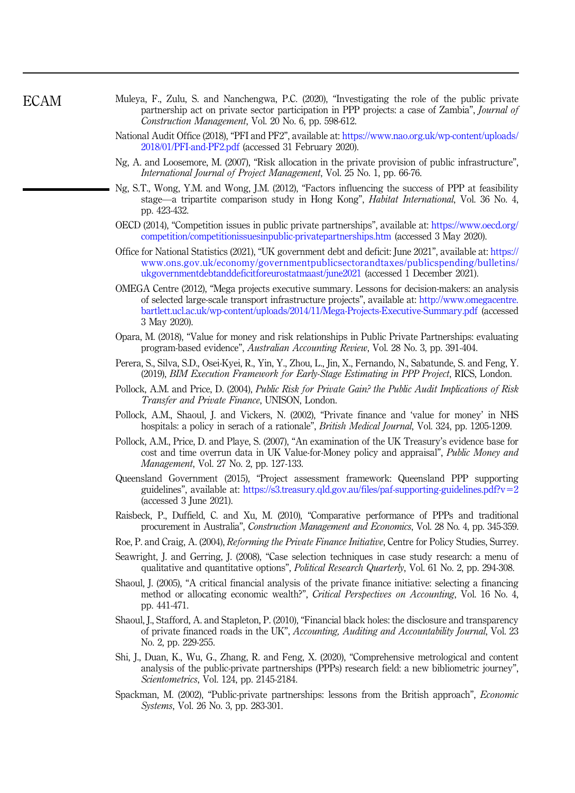- <span id="page-17-0"></span>Muleya, F., Zulu, S. and Nanchengwa, P.C. (2020), "Investigating the role of the public private partnership act on private sector participation in PPP projects: a case of Zambia", Journal of Construction Management, Vol. 20 No. 6, pp. 598-612.
	- National Audit Office (2018), "PFI and PF2", available at: [https://www.nao.org.uk/wp-content/uploads/](https://www.nao.org.uk/wp-content/uploads/2018/01/PFI-and-PF2.pdf) [2018/01/PFI-and-PF2.pdf](https://www.nao.org.uk/wp-content/uploads/2018/01/PFI-and-PF2.pdf) (accessed 31 February 2020).
	- Ng, A. and Loosemore, M. (2007), "Risk allocation in the private provision of public infrastructure", International Journal of Project Management, Vol. 25 No. 1, pp. 66-76.
	- Ng, S.T., Wong, Y.M. and Wong, J.M. (2012), "Factors influencing the success of PPP at feasibility stage—a tripartite comparison study in Hong Kong", Habitat International, Vol. 36 No. 4, pp. 423-432.
	- OECD (2014), "Competition issues in public private partnerships", available at: [https://www.oecd.org/](https://www.oecd.org/competition/competitionissuesinpublic-privatepartnerships.htm) [competition/competitionissuesinpublic-privatepartnerships.htm](https://www.oecd.org/competition/competitionissuesinpublic-privatepartnerships.htm) (accessed 3 May 2020).
	- Office for National Statistics (2021), "UK government debt and deficit: June 2021", available at: [https://](https://www.ons.gov.uk/economy/governmentpublicsectorandtaxes/publicspending/bulletins/ukgovernmentdebtanddeficitforeurostatmaast/june2021) [www.ons.gov.uk/economy/governmentpublicsectorandtaxes/publicspending/bulletins/](https://www.ons.gov.uk/economy/governmentpublicsectorandtaxes/publicspending/bulletins/ukgovernmentdebtanddeficitforeurostatmaast/june2021) [ukgovernmentdebtanddeficitforeurostatmaast/june2021](https://www.ons.gov.uk/economy/governmentpublicsectorandtaxes/publicspending/bulletins/ukgovernmentdebtanddeficitforeurostatmaast/june2021) (accessed 1 December 2021).
	- OMEGA Centre (2012), "Mega projects executive summary. Lessons for decision-makers: an analysis of selected large-scale transport infrastructure projects", available at: [http://www.omegacentre.](http://www.omegacentre.bartlett.ucl.ac.uk/wp-content/uploads/2014/11/Mega-Projects-Executive-Summary.pdf) [bartlett.ucl.ac.uk/wp-content/uploads/2014/11/Mega-Projects-Executive-Summary.pdf](http://www.omegacentre.bartlett.ucl.ac.uk/wp-content/uploads/2014/11/Mega-Projects-Executive-Summary.pdf) (accessed 3 May 2020).
	- Opara, M. (2018), "Value for money and risk relationships in Public Private Partnerships: evaluating program-based evidence", Australian Accounting Review, Vol. 28 No. 3, pp. 391-404.
	- Perera, S., Silva, S.D., Osei-Kyei, R., Yin, Y., Zhou, L., Jin, X., Fernando, N., Sabatunde, S. and Feng, Y. (2019), BIM Execution Framework for Early-Stage Estimating in PPP Project, RICS, London.
	- Pollock, A.M. and Price, D. (2004), Public Risk for Private Gain? the Public Audit Implications of Risk Transfer and Private Finance, UNISON, London.
	- Pollock, A.M., Shaoul, J. and Vickers, N. (2002), "Private finance and 'value for money' in NHS hospitals: a policy in serach of a rationale", British Medical Journal, Vol. 324, pp. 1205-1209.
	- Pollock, A.M., Price, D. and Playe, S. (2007), "An examination of the UK Treasury's evidence base for cost and time overrun data in UK Value-for-Money policy and appraisal", Public Money and Management, Vol. 27 No. 2, pp. 127-133.
	- Queensland Government (2015), "Project assessment framework: Queensland PPP supporting guidelines", available at: [https://s3.treasury.qld.gov.au/files/paf-supporting-guidelines.pdf?v](https://s3.treasury.qld.gov.au/files/paf-supporting-guidelines.pdf?v=2)=[2](https://s3.treasury.qld.gov.au/files/paf-supporting-guidelines.pdf?v=2) (accessed 3 June 2021).
	- Raisbeck, P., Duffield, C. and Xu, M. (2010), "Comparative performance of PPPs and traditional procurement in Australia", Construction Management and Economics, Vol. 28 No. 4, pp. 345-359.
	- Roe, P. and Craig, A. (2004), *Reforming the Private Finance Initiative*, Centre for Policy Studies, Surrey.
	- Seawright, J. and Gerring, J. (2008), "Case selection techniques in case study research: a menu of qualitative and quantitative options", *Political Research Quarterly*, Vol. 61 No. 2, pp. 294-308.
	- Shaoul, J. (2005), "A critical financial analysis of the private finance initiative: selecting a financing method or allocating economic wealth?", *Critical Perspectives on Accounting*, Vol. 16 No. 4, pp. 441-471.
	- Shaoul, J., Stafford, A. and Stapleton, P. (2010), "Financial black holes: the disclosure and transparency of private financed roads in the UK", Accounting, Auditing and Accountability Journal, Vol. 23 No. 2, pp. 229-255.
	- Shi, J., Duan, K., Wu, G., Zhang, R. and Feng, X. (2020), "Comprehensive metrological and content analysis of the public-private partnerships (PPPs) research field: a new bibliometric journey", Scientometrics, Vol. 124, pp. 2145-2184.
	- Spackman, M. (2002), "Public-private partnerships: lessons from the British approach", Economic Systems, Vol. 26 No. 3, pp. 283-301.